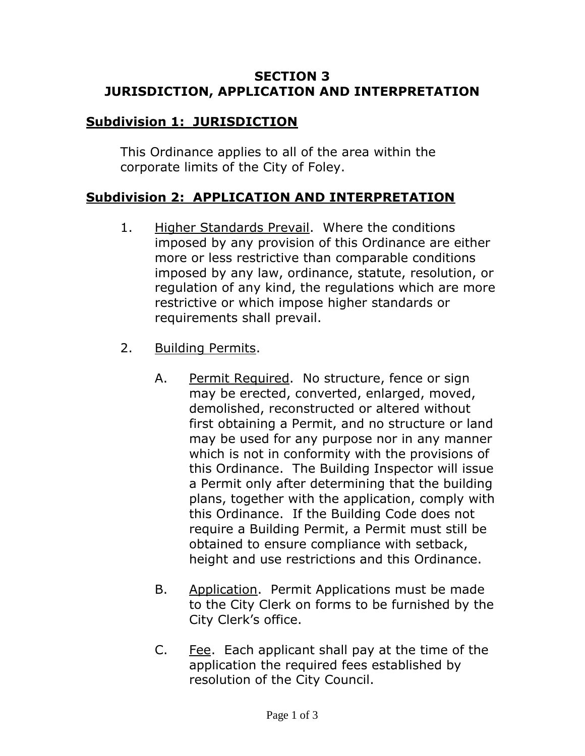### **SECTION 3 JURISDICTION, APPLICATION AND INTERPRETATION**

# **Subdivision 1: JURISDICTION**

This Ordinance applies to all of the area within the corporate limits of the City of Foley.

# **Subdivision 2: APPLICATION AND INTERPRETATION**

- 1. Higher Standards Prevail. Where the conditions imposed by any provision of this Ordinance are either more or less restrictive than comparable conditions imposed by any law, ordinance, statute, resolution, or regulation of any kind, the regulations which are more restrictive or which impose higher standards or requirements shall prevail.
- 2. Building Permits.
	- A. Permit Required. No structure, fence or sign may be erected, converted, enlarged, moved, demolished, reconstructed or altered without first obtaining a Permit, and no structure or land may be used for any purpose nor in any manner which is not in conformity with the provisions of this Ordinance. The Building Inspector will issue a Permit only after determining that the building plans, together with the application, comply with this Ordinance. If the Building Code does not require a Building Permit, a Permit must still be obtained to ensure compliance with setback, height and use restrictions and this Ordinance.
	- B. Application. Permit Applications must be made to the City Clerk on forms to be furnished by the City Clerk's office.
	- C. Fee. Each applicant shall pay at the time of the application the required fees established by resolution of the City Council.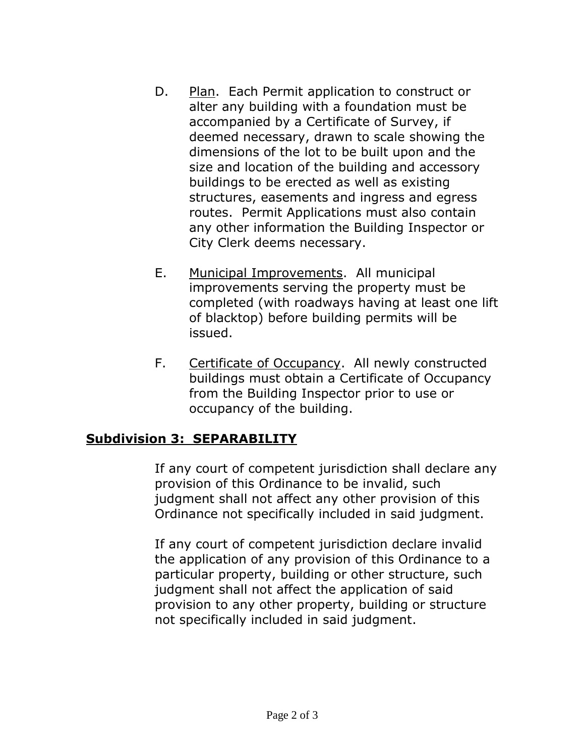- D. Plan. Each Permit application to construct or alter any building with a foundation must be accompanied by a Certificate of Survey, if deemed necessary, drawn to scale showing the dimensions of the lot to be built upon and the size and location of the building and accessory buildings to be erected as well as existing structures, easements and ingress and egress routes. Permit Applications must also contain any other information the Building Inspector or City Clerk deems necessary.
- E. Municipal Improvements. All municipal improvements serving the property must be completed (with roadways having at least one lift of blacktop) before building permits will be issued.
- F. Certificate of Occupancy. All newly constructed buildings must obtain a Certificate of Occupancy from the Building Inspector prior to use or occupancy of the building.

# **Subdivision 3: SEPARABILITY**

If any court of competent jurisdiction shall declare any provision of this Ordinance to be invalid, such judgment shall not affect any other provision of this Ordinance not specifically included in said judgment.

If any court of competent jurisdiction declare invalid the application of any provision of this Ordinance to a particular property, building or other structure, such judgment shall not affect the application of said provision to any other property, building or structure not specifically included in said judgment.